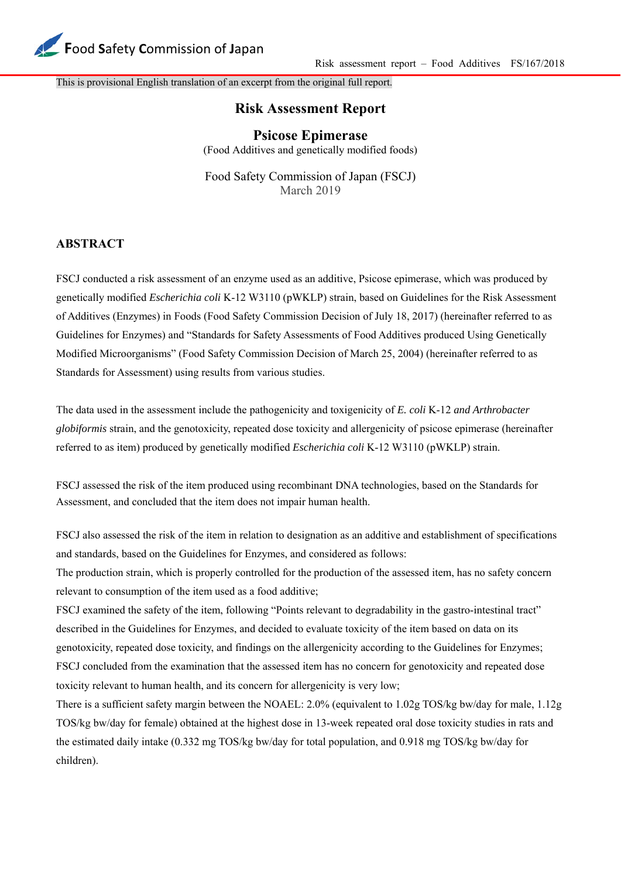

This is provisional English translation of an excerpt from the original full report.

## **Risk Assessment Report**

**Psicose Epimerase** (Food Additives and genetically modified foods)

Food Safety Commission of Japan (FSCJ) March 2019

## **ABSTRACT**

FSCJ conducted a risk assessment of an enzyme used as an additive, Psicose epimerase, which was produced by genetically modified *Escherichia coli* K-12 W3110 (pWKLP) strain, based on Guidelines for the Risk Assessment of Additives (Enzymes) in Foods (Food Safety Commission Decision of July 18, 2017) (hereinafter referred to as Guidelines for Enzymes) and "Standards for Safety Assessments of Food Additives produced Using Genetically Modified Microorganisms" (Food Safety Commission Decision of March 25, 2004) (hereinafter referred to as Standards for Assessment) using results from various studies.

The data used in the assessment include the pathogenicity and toxigenicity of *E. coli* K-12 *and Arthrobacter globiformis* strain, and the genotoxicity, repeated dose toxicity and allergenicity of psicose epimerase (hereinafter referred to as item) produced by genetically modified *Escherichia coli* K-12 W3110 (pWKLP) strain.

FSCJ assessed the risk of the item produced using recombinant DNA technologies, based on the Standards for Assessment, and concluded that the item does not impair human health.

FSCJ also assessed the risk of the item in relation to designation as an additive and establishment of specifications and standards, based on the Guidelines for Enzymes, and considered as follows:

The production strain, which is properly controlled for the production of the assessed item, has no safety concern relevant to consumption of the item used as a food additive;

FSCJ examined the safety of the item, following "Points relevant to degradability in the gastro-intestinal tract" described in the Guidelines for Enzymes, and decided to evaluate toxicity of the item based on data on its genotoxicity, repeated dose toxicity, and findings on the allergenicity according to the Guidelines for Enzymes; FSCJ concluded from the examination that the assessed item has no concern for genotoxicity and repeated dose toxicity relevant to human health, and its concern for allergenicity is very low;

There is a sufficient safety margin between the NOAEL: 2.0% (equivalent to 1.02g TOS/kg bw/day for male, 1.12g TOS/kg bw/day for female) obtained at the highest dose in 13-week repeated oral dose toxicity studies in rats and the estimated daily intake (0.332 mg TOS/kg bw/day for total population, and 0.918 mg TOS/kg bw/day for children).